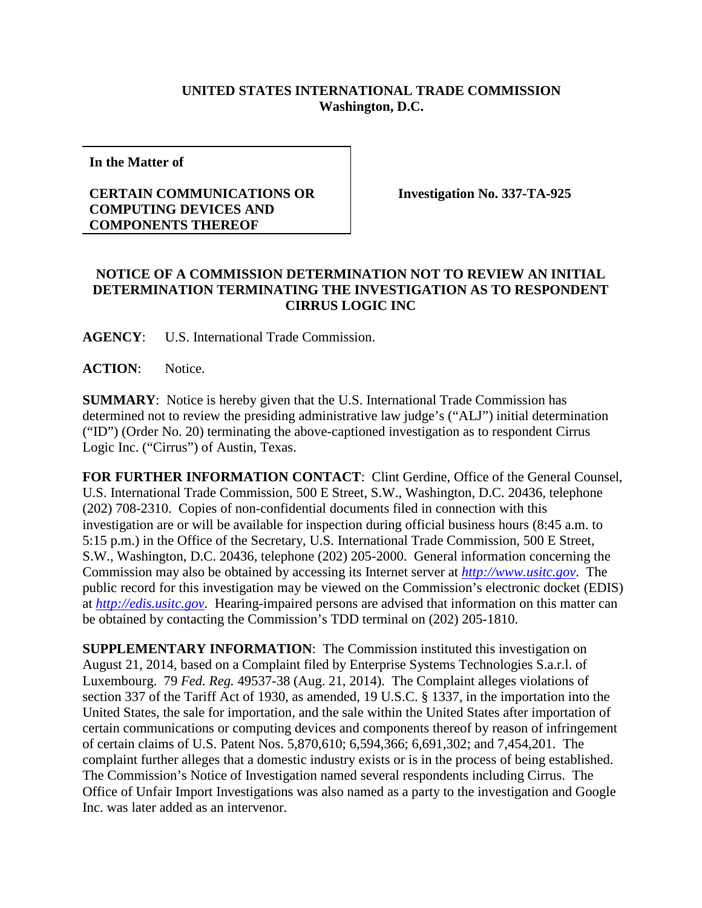## **UNITED STATES INTERNATIONAL TRADE COMMISSION Washington, D.C.**

**In the Matter of**

## **CERTAIN COMMUNICATIONS OR COMPUTING DEVICES AND COMPONENTS THEREOF**

**Investigation No. 337-TA-925**

## **NOTICE OF A COMMISSION DETERMINATION NOT TO REVIEW AN INITIAL DETERMINATION TERMINATING THE INVESTIGATION AS TO RESPONDENT CIRRUS LOGIC INC**

**AGENCY**: U.S. International Trade Commission.

**ACTION**: Notice.

**SUMMARY**: Notice is hereby given that the U.S. International Trade Commission has determined not to review the presiding administrative law judge's ("ALJ") initial determination ("ID") (Order No. 20) terminating the above-captioned investigation as to respondent Cirrus Logic Inc. ("Cirrus") of Austin, Texas.

**FOR FURTHER INFORMATION CONTACT**: Clint Gerdine, Office of the General Counsel, U.S. International Trade Commission, 500 E Street, S.W., Washington, D.C. 20436, telephone (202) 708-2310. Copies of non-confidential documents filed in connection with this investigation are or will be available for inspection during official business hours (8:45 a.m. to 5:15 p.m.) in the Office of the Secretary, U.S. International Trade Commission, 500 E Street, S.W., Washington, D.C. 20436, telephone (202) 205-2000. General information concerning the Commission may also be obtained by accessing its Internet server at *[http://www.usitc.gov](http://www.usitc.gov/)*. The public record for this investigation may be viewed on the Commission's electronic docket (EDIS) at *[http://edis.usitc.gov](http://edis.usitc.gov/)*. Hearing-impaired persons are advised that information on this matter can be obtained by contacting the Commission's TDD terminal on (202) 205-1810.

**SUPPLEMENTARY INFORMATION**: The Commission instituted this investigation on August 21, 2014, based on a Complaint filed by Enterprise Systems Technologies S.a.r.l. of Luxembourg. 79 *Fed. Reg.* 49537-38 (Aug. 21, 2014). The Complaint alleges violations of section 337 of the Tariff Act of 1930, as amended, 19 U.S.C. § 1337, in the importation into the United States, the sale for importation, and the sale within the United States after importation of certain communications or computing devices and components thereof by reason of infringement of certain claims of U.S. Patent Nos. 5,870,610; 6,594,366; 6,691,302; and 7,454,201. The complaint further alleges that a domestic industry exists or is in the process of being established. The Commission's Notice of Investigation named several respondents including Cirrus. The Office of Unfair Import Investigations was also named as a party to the investigation and Google Inc. was later added as an intervenor.